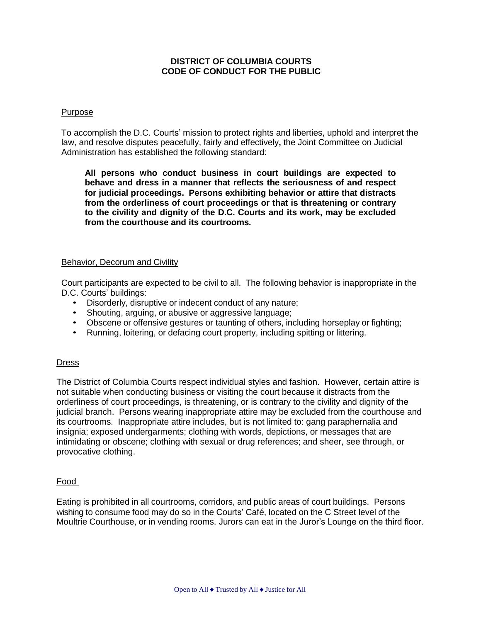# **DISTRICT OF COLUMBIA COURTS CODE OF CONDUCT FOR THE PUBLIC**

### Purpose

To accomplish the D.C. Courts' mission to protect rights and liberties, uphold and interpret the law, and resolve disputes peacefully, fairly and effectively**,** the Joint Committee on Judicial Administration has established the following standard:

**All persons who conduct business in court buildings are expected to behave and dress in a manner that reflects the seriousness of and respect for judicial proceedings. Persons exhibiting behavior or attire that distracts from the orderliness of court proceedings or that is threatening or contrary to the civility and dignity of the D.C. Courts and its work, may be excluded from the courthouse and its courtrooms***.*

# Behavior, Decorum and Civility

Court participants are expected to be civil to all. The following behavior is inappropriate in the D.C. Courts' buildings:

- Disorderly, disruptive or indecent conduct of any nature;
- Shouting, arguing, or abusive or aggressive language;
- Obscene or offensive gestures or taunting of others, including horseplay or fighting;
- Running, loitering, or defacing court property, including spitting or littering.

#### **Dress**

The District of Columbia Courts respect individual styles and fashion. However, certain attire is not suitable when conducting business or visiting the court because it distracts from the orderliness of court proceedings, is threatening, or is contrary to the civility and dignity of the judicial branch. Persons wearing inappropriate attire may be excluded from the courthouse and its courtrooms. Inappropriate attire includes, but is not limited to: gang paraphernalia and insignia; exposed undergarments; clothing with words, depictions, or messages that are intimidating or obscene; clothing with sexual or drug references; and sheer, see through, or provocative clothing.

#### Food

Eating is prohibited in all courtrooms, corridors, and public areas of court buildings. Persons wishing to consume food may do so in the Courts' Café, located on the C Street level of the Moultrie Courthouse, or in vending rooms. Jurors can eat in the Juror's Lounge on the third floor.